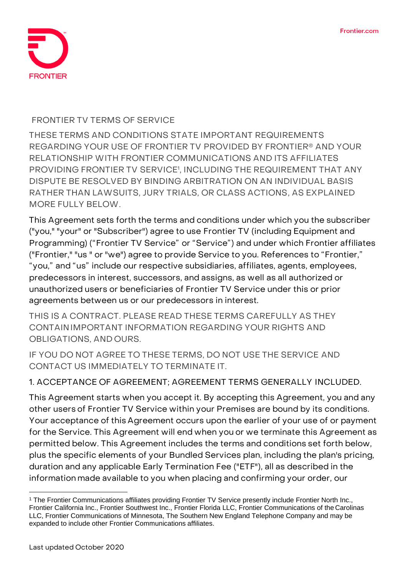

#### **FRONTIER TV TERMS OF SERVICE**

**THESE TERMS AND CONDITIONS STATE IMPORTANT REQUIREMENTS REGARDING YOUR USE OF FRONTIER TV PROVIDED BY FRONTIER® AND YOUR RELATIONSHIP WITH FRONTIER COMMUNICATIONS AND ITS AFFILIATES PROVIDING FRONTIER TV SERVICE<sup>1</sup> , INCLUDING THE REQUIREMENT THAT ANY DISPUTE BE RESOLVED BY BINDING ARBITRATION ON AN INDIVIDUAL BASIS RATHER THAN LAWSUITS, JURY TRIALS, OR CLASS ACTIONS, AS EXPLAINED MORE FULLY BELOW.**

This Agreement sets forth the terms and conditions under which you the subscriber ("you," "your" or "Subscriber") agree to use Frontier TV (including Equipment and Programming) ("Frontier TV Service" or "Service") and under which Frontier affiliates ("Frontier," "us " or "we") agree to provide Service to you. References to "Frontier," "you," and "us" include our respective subsidiaries, affiliates, agents, employees, predecessors in interest, successors, and assigns, as well as all authorized or unauthorized users or beneficiaries of Frontier TV Service under this or prior agreements between us or our predecessors in interest.

**THIS IS A CONTRACT. PLEASE READ THESE TERMS CAREFULLY AS THEY CONTAINIMPORTANT INFORMATION REGARDING YOUR RIGHTS AND OBLIGATIONS, AND OURS.**

**IF YOU DO NOT AGREE TO THESE TERMS, DO NOT USE THE SERVICE AND CONTACT US IMMEDIATELY TO TERMINATE IT.**

## **1. ACCEPTANCE OF AGREEMENT; AGREEMENT TERMS GENERALLY INCLUDED.**

This Agreement starts when you accept it. By accepting this Agreement, you and any other users of Frontier TV Service within your Premises are bound by its conditions. Your acceptance of this Agreement occurs upon the earlier of your use of or payment for the Service. This Agreement will end when you or we terminate this Agreement as permitted below. This Agreement includes the terms and conditions set forth below, plus the specific elements of your Bundled Services plan, including the plan's pricing, duration and any applicable Early Termination Fee ("ETF"), all as described in the information made available to you when placing and confirming your order, our

<sup>&</sup>lt;sup>1</sup> The Frontier Communications affiliates providing Frontier TV Service presently include Frontier North Inc., Frontier California Inc., Frontier Southwest Inc., Frontier Florida LLC, Frontier Communications of the Carolinas LLC, Frontier Communications of Minnesota, The Southern New England Telephone Company and may be expanded to include other Frontier Communications affiliates.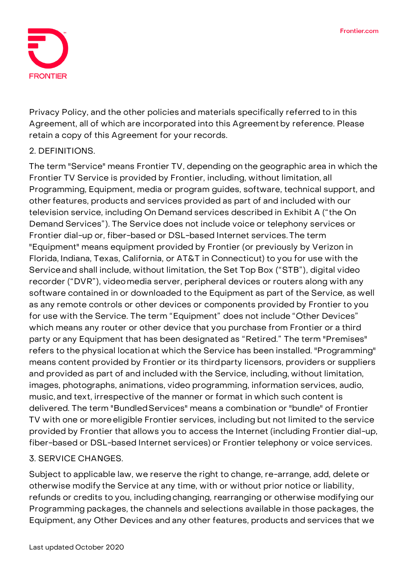

Privacy Policy, and the other policies and materials specifically referred to in this Agreement, all of which are incorporated into this Agreementby reference. Please retain a copy of this Agreement for your records.

## **2. DEFINITIONS.**

The term "Service" means Frontier TV, depending on the geographic area in which the Frontier TV Service is provided by Frontier, including, without limitation, all Programming, Equipment, media or program guides, software, technical support, and other features, products and services provided as part of and included with our television service, including On Demand services described in Exhibit A ("the On Demand Services"). The Service does not include voice or telephony services or Frontier dial-up or, fiber-based or DSL-based Internet services. The term "Equipment" means equipment provided by Frontier (or previously by Verizon in Florida, Indiana, Texas, California, or AT&T in Connecticut) to you for use with the Serviceand shall include, without limitation, the Set Top Box ("STB"), digital video recorder ("DVR"), videomedia server, peripheral devices or routers along with any software contained in or downloaded to the Equipment as part of the Service, as well as any remote controls or other devices or components provided by Frontier to you for use with the Service. The term "Equipment" does not include "Other Devices" which means any router or other device that you purchase from Frontier or a third party or any Equipment that has been designated as "Retired." The term "Premises" refers to the physical location at which the Service has been installed. "Programming" means content provided by Frontier or its thirdparty licensors, providers or suppliers and provided as part of and included with the Service, including, without limitation, images, photographs, animations, video programming, information services, audio, music, and text, irrespective of the manner or format in which such content is delivered. The term "BundledServices" means a combination or "bundle" of Frontier TV with one or moreeligible Frontier services, including but not limited to the service provided by Frontier that allows you to access the Internet (including Frontier dial-up, fiber-based or DSL-based Internet services) or Frontier telephony or voice services.

## **3. SERVICE CHANGES.**

Subject to applicable law, we reserve the right to change, re-arrange, add, delete or otherwise modify the Service at any time, with or without prior notice or liability, refunds or credits to you, including changing, rearranging or otherwise modifying our Programming packages, the channels and selections available in those packages, the Equipment, any Other Devices and any other features, products and services that we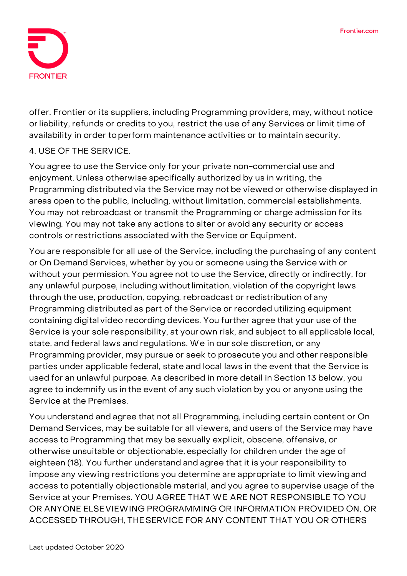

offer. Frontier or its suppliers, including Programming providers, may, without notice or liability, refunds or credits to you, restrict the use of any Services or limit time of availability in order toperform maintenance activities or to maintain security.

# **4. USE OF THE SERVICE.**

You agree to use the Service only for your private non-commercial use and enjoyment. Unless otherwise specifically authorized by us in writing, the Programming distributed via the Service may not be viewed or otherwise displayed in areas open to the public, including, without limitation, commercial establishments. You may not rebroadcast or transmit the Programming or charge admission for its viewing. You may not take any actions to alter or avoid any security or access controls orrestrictions associated with the Service or Equipment.

You are responsible for all use of the Service, including the purchasing of any content or On Demand Services, whether by you or someone using the Service with or without your permission. You agree not to use the Service, directly or indirectly, for any unlawful purpose, including without limitation, violation of the copyright laws through the use, production, copying, rebroadcast or redistribution of any Programming distributed as part of the Service or recorded utilizing equipment containing digital video recording devices. You further agree that your use of the Service is your sole responsibility, at your own risk, and subject to all applicable local, state, and federal laws and regulations. We in our sole discretion, or any Programming provider, may pursue or seek to prosecute you and other responsible parties under applicable federal, state and local laws in the event that the Service is used for an unlawful purpose. As described in more detail in Section 13 below, you agree to indemnify us in the event of any such violation by you or anyone using the Service at the Premises.

You understand and agree that not all Programming, including certain content or On Demand Services, may be suitable for all viewers, and users of the Service may have access toProgramming that may be sexually explicit, obscene, offensive, or otherwise unsuitable or objectionable, especially for children under the age of eighteen (18). You further understand and agree that it is your responsibility to impose any viewing restrictions you determine are appropriate to limit viewingand access to potentially objectionable material, and you agree to supervise usage of the Service at your Premises. YOU AGREE THAT WE ARE NOT RESPONSIBLE TO YOU OR ANYONE ELSEVIEWING PROGRAMMING OR INFORMATION PROVIDED ON, OR ACCESSED THROUGH, THESERVICE FOR ANY CONTENT THAT YOU OR OTHERS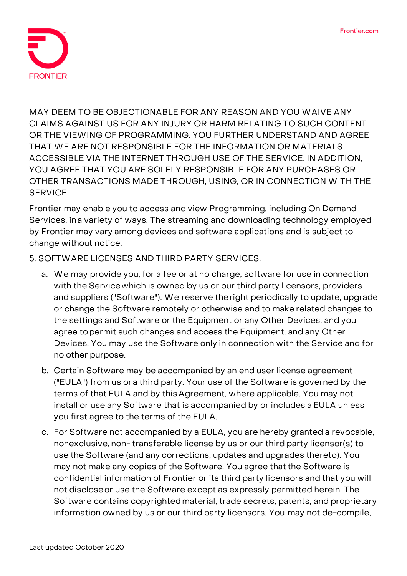

MAY DEEM TO BE OBJECTIONABLE FOR ANY REASON AND YOU WAIVE ANY CLAIMS AGAINST US FOR ANY INJURY OR HARM RELATING TO SUCH CONTENT OR THE VIEWING OF PROGRAMMING. YOU FURTHER UNDERSTAND AND AGREE THAT WE ARE NOT RESPONSIBLE FOR THE INFORMATION OR MATERIALS ACCESSIBLE VIA THE INTERNET THROUGH USE OF THE SERVICE. IN ADDITION, YOU AGREE THAT YOU ARE SOLELY RESPONSIBLE FOR ANY PURCHASES OR OTHER TRANSACTIONS MADE THROUGH, USING, OR IN CONNECTION WITH THE **SERVICE** 

Frontier may enable you to access and view Programming, including On Demand Services, ina variety of ways. The streaming and downloading technology employed by Frontier may vary among devices and software applications and is subject to change without notice.

## **5. SOFTWARE LICENSES AND THIRD PARTY SERVICES.**

- a. We may provide you, for a fee or at no charge, software for use in connection with the Servicewhich is owned by us or our third party licensors, providers and suppliers ("Software"). We reserve theright periodically to update, upgrade or change the Software remotely or otherwise and to make related changes to the settings and Software or the Equipment or any Other Devices, and you agree topermit such changes and access the Equipment, and any Other Devices. You may use the Software only in connection with the Service and for no other purpose.
- b. Certain Software may be accompanied by an end user license agreement ("EULA") from us or a third party. Your use of the Software is governed by the terms of that EULA and by this Agreement, where applicable. You may not install or use any Software that is accompanied by or includes a EULA unless you first agree to the terms of the EULA.
- c. For Software not accompanied by a EULA, you are hereby granted a revocable, nonexclusive, non- transferable license by us or our third party licensor(s) to use the Software (and any corrections, updates and upgrades thereto). You may not make any copies of the Software. You agree that the Software is confidential information of Frontier or its third party licensors and that you will not discloseor use the Software except as expressly permitted herein. The Software contains copyrightedmaterial, trade secrets, patents, and proprietary information owned by us or our third party licensors. You may not de-compile,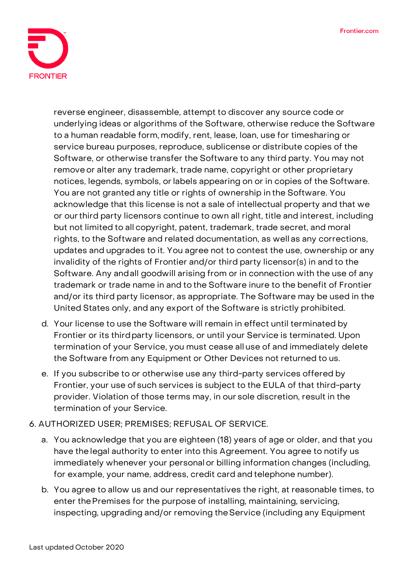

reverse engineer, disassemble, attempt to discover any source code or underlying ideas or algorithms of the Software, otherwise reduce the Software to a human readable form, modify, rent, lease, loan, use for timesharing or service bureau purposes, reproduce, sublicense or distribute copies of the Software, or otherwise transfer the Software to any third party. You may not removeor alter any trademark, trade name, copyright or other proprietary notices, legends, symbols, or labels appearing on or in copies of the Software. You are not granted any title or rights of ownership in the Software. You acknowledge that this license is not a sale of intellectual property and that we or ourthird party licensors continue to own all right, title and interest, including but not limited to all copyright, patent, trademark, trade secret, and moral rights, to the Software and related documentation, as well as any corrections, updates and upgrades to it. You agree not to contest the use, ownership or any invalidity of the rights of Frontier and/or third party licensor(s) in and to the Software. Any andall goodwill arising from or in connection with the use of any trademark or trade name in and to the Software inure to the benefit of Frontier and/or its third party licensor, as appropriate. The Software may be used in the United States only, and any export of the Software is strictly prohibited.

- d. Your license to use the Software will remain in effect until terminated by Frontier or its thirdparty licensors, or until your Service is terminated. Upon termination of your Service, you must cease all use of and immediately delete the Software from any Equipment or Other Devices not returned to us.
- e. If you subscribe to or otherwise use any third-party services offered by Frontier, your use of such services is subject to the EULA of that third-party provider. Violation of those terms may, in our sole discretion, result in the termination of your Service.

## **6. AUTHORIZED USER; PREMISES; REFUSAL OF SERVICE.**

- a. You acknowledge that you are eighteen (18) years of age or older, and that you have the legal authority to enter into this Agreement. You agree to notify us immediately whenever your personalor billing information changes (including, for example, your name, address, credit card and telephone number).
- b. You agree to allow us and our representatives the right, at reasonable times, to enter thePremises for the purpose of installing, maintaining, servicing, inspecting, upgrading and/or removing theService (including any Equipment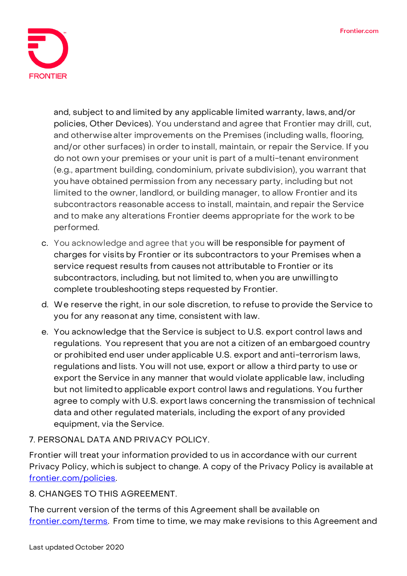

and, subject to and limited by any applicable limited warranty, laws, and/or policies, Other Devices). You understand and agree that Frontier may drill, cut, and otherwise alter improvements on the Premises (including walls, flooring, and/or other surfaces) in order to install, maintain, or repair the Service. If you do not own your premises or your unit is part of a multi-tenant environment (e.g., apartment building, condominium, private subdivision), you warrant that you have obtained permission from any necessary party, including but not limited to the owner, landlord, or building manager, to allow Frontier and its subcontractors reasonable access to install, maintain, and repair the Service and to make any alterations Frontier deems appropriate for the work to be performed.

- c. You acknowledge and agree that you will be responsible for payment of charges for visits by Frontier or its subcontractors to your Premises when a service request results from causes not attributable to Frontier or its subcontractors, including, but not limited to, when you are unwillingto complete troubleshooting steps requested by Frontier.
- d. We reserve the right, in our sole discretion, to refuse to provide the Service to you for any reasonat any time, consistent with law.
- e. You acknowledge that the Service is subject to U.S. export control laws and regulations. You represent that you are not a citizen of an embargoed country or prohibited end user under applicable U.S. export and anti-terrorism laws, regulations and lists. You will not use, export or allow a third party to use or export the Service in any manner that would violate applicable law, including but not limitedto applicable export control laws and regulations. You further agree to comply with U.S. export laws concerning the transmission of technical data and other regulated materials, including the export of any provided equipment, via the Service.
- **7. PERSONAL DATA AND PRIVACY POLICY.**

Frontier will treat your information provided to us in accordance with our current Privacy Policy, which is subject to change. A copy of the Privacy Policy is available at [frontier.com/policies.](https://frontier.com/corporate/policies)

**8. CHANGES TO THIS AGREEMENT.**

The current version of the terms of this Agreement shall be available on [frontier.com/terms.](https://frontier.com/corporate/terms) From time to time, we may make revisions to this Agreement and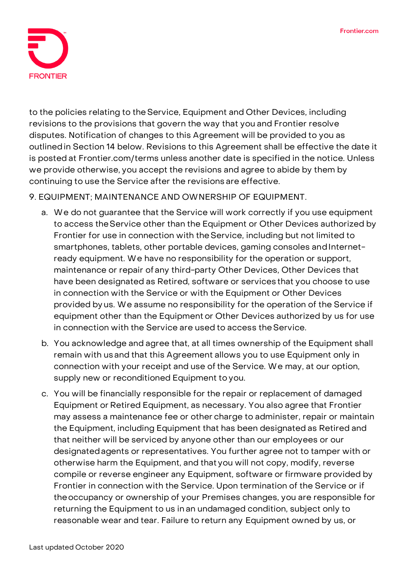

to the policies relating to theService, Equipment and Other Devices, including revisions to the provisions that govern the way that you and Frontier resolve disputes. Notification of changes to this Agreement will be provided to you as outlinedin Section 14 below. Revisions to this Agreement shall be effective the date it is posted at Frontier.com/terms unless another date is specified in the notice. Unless we provide otherwise, you accept the revisions and agree to abide by them by continuing to use the Service after the revisions are effective.

### **9. EQUIPMENT; MAINTENANCE AND OWNERSHIP OF EQUIPMENT.**

- a. We do not guarantee that the Service will work correctly if you use equipment to access theService other than the Equipment or Other Devices authorized by Frontier for use in connection with theService, including but not limited to smartphones, tablets, other portable devices, gaming consoles and Internetready equipment. We have no responsibility for the operation or support, maintenance or repair of any third-party Other Devices, Other Devices that have been designated as Retired, software or services that you choose to use in connection with the Service or with the Equipment or Other Devices provided by us. We assume no responsibility for the operation of the Service if equipment other than the Equipment or Other Devices authorized by us for use in connection with the Service are used to access theService.
- b. You acknowledge and agree that, at all times ownership of the Equipment shall remain with us and that this Agreement allows you to use Equipment only in connection with your receipt and use of the Service. We may, at our option, supply new or reconditioned Equipment to you.
- c. You will be financially responsible for the repair or replacement of damaged Equipment or Retired Equipment, as necessary. You also agree that Frontier may assess a maintenance fee or other charge to administer, repair or maintain the Equipment, including Equipment that has been designated as Retired and that neither will be serviced by anyone other than our employees or our designatedagents or representatives. You further agree not to tamper with or otherwise harm the Equipment, and that you will not copy, modify, reverse compile or reverse engineer any Equipment, software or firmware provided by Frontier in connection with the Service. Upon termination of the Service or if theoccupancy or ownership of your Premises changes, you are responsible for returning the Equipment to us in an undamaged condition, subject only to reasonable wear and tear. Failure to return any Equipment owned by us, or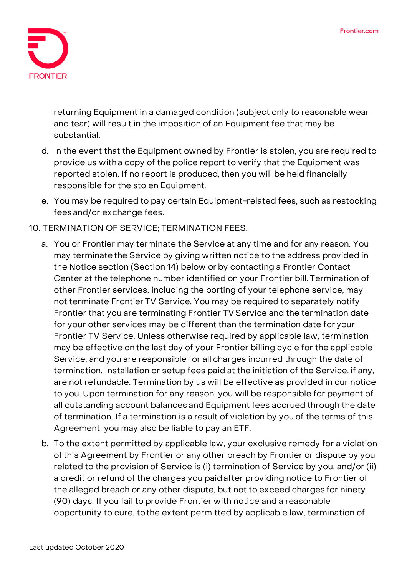

returning Equipment in a damaged condition (subject only to reasonable wear and tear) will result in the imposition of an Equipment fee that may be substantial.

- d. In the event that the Equipment owned by Frontier is stolen, you are required to provide us witha copy of the police report to verify that the Equipment was reported stolen. If no report is produced, then you will be held financially responsible for the stolen Equipment.
- e. You may be required to pay certain Equipment-related fees, such as restocking fees and/or exchange fees.
- **10. TERMINATION OF SERVICE; TERMINATION FEES.**
	- a. You or Frontier may terminate the Service at any time and for any reason. You may terminate the Service by giving written notice to the address provided in the Notice section (Section 14) below or by contacting a Frontier Contact Center at the telephone number identified on your Frontier bill. Termination of other Frontier services, including the porting of your telephone service, may not terminate Frontier TV Service. You may be required to separately notify Frontier that you are terminating Frontier TV Service and the termination date for your other services may be different than the termination date for your Frontier TV Service. Unless otherwise required by applicable law, termination may be effective on the last day of your Frontier billing cycle for the applicable Service, and you are responsible for all charges incurred through the date of termination. Installation or setup fees paid at the initiation of the Service, if any, are not refundable. Termination by us will be effective as provided in our notice to you. Upon termination for any reason, you will be responsible for payment of all outstanding account balances and Equipment fees accrued through the date of termination. If a termination is a result of violation by you of the terms of this Agreement, you may also be liable to pay an ETF.
	- b. To the extent permitted by applicable law, your exclusive remedy for a violation of this Agreement by Frontier or any other breach by Frontier or dispute by you related to the provision of Service is (i) termination of Service by you, and/or (ii) a credit or refund of the charges you paidafter providing notice to Frontier of the alleged breach or any other dispute, but not to exceed charges for ninety (90) days. If you fail to provide Frontier with notice and a reasonable opportunity to cure, tothe extent permitted by applicable law, termination of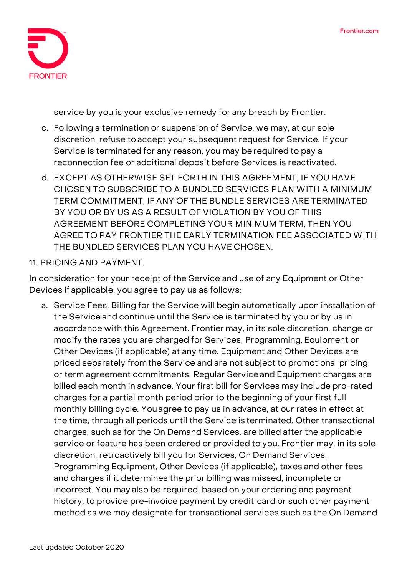

service by you is your exclusive remedy for any breach by Frontier.

- c. Following a termination or suspension of Service, we may, at our sole discretion, refuse to accept your subsequent request for Service. If your Service is terminated for any reason, you may berequired to pay a reconnection fee or additional deposit before Services is reactivated.
- **d. EXCEPT AS OTHERWISE SET FORTH IN THIS AGREEMENT, IF YOU HAVE CHOSEN TO SUBSCRIBE TO A BUNDLED SERVICES PLAN WITH A MINIMUM TERM COMMITMENT, IF ANY OF THE BUNDLE SERVICES ARE TERMINATED BY YOU OR BY US AS A RESULT OF VIOLATION BY YOU OF THIS AGREEMENT BEFORE COMPLETING YOUR MINIMUM TERM, THEN YOU AGREE TO PAY FRONTIER THE EARLY TERMINATION FEE ASSOCIATED WITH THE BUNDLED SERVICES PLAN YOU HAVE CHOSEN.**

#### **11. PRICING AND PAYMENT.**

In consideration for your receipt of the Service and use of any Equipment or Other Devices if applicable, you agree to pay us as follows:

a. Service Fees. Billing for the Service will begin automatically upon installation of the Service and continue until the Service is terminated by you or by us in accordance with this Agreement. Frontier may, in its sole discretion, change or modify the rates you are charged for Services, Programming, Equipment or Other Devices (if applicable) at any time. Equipment and Other Devices are priced separately from the Service and are not subject to promotional pricing or term agreement commitments. Regular Serviceand Equipment charges are billed each month in advance. Your first bill for Services may include pro-rated charges for a partial month period prior to the beginning of your first full monthly billing cycle. Youagree to pay us in advance, at our rates in effect at the time, through all periods until the Service is terminated. Other transactional charges, such as for the On Demand Services, are billed after the applicable service or feature has been ordered or provided to you. Frontier may, in its sole discretion, retroactively bill you for Services, On Demand Services, Programming Equipment, Other Devices (if applicable), taxes and other fees and charges if it determines the prior billing was missed, incomplete or incorrect. You may also be required, based on your ordering and payment history, to provide pre-invoice payment by credit card or such other payment method as we may designate for transactional services such as the On Demand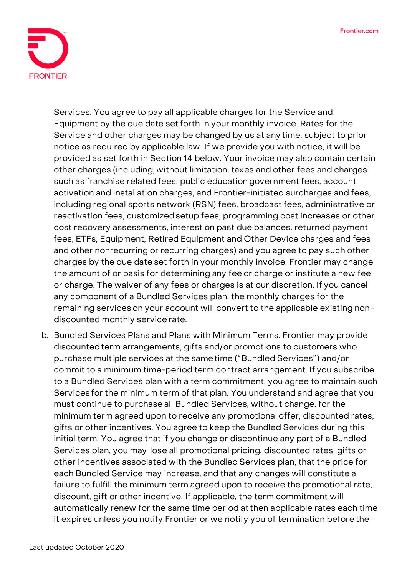

Services. You agree to pay all applicable charges for the Service and Equipment by the due date setforth in your monthly invoice. Rates for the Service and other charges may be changed by us at any time, subject to prior notice as required by applicable law. If we provide you with notice, it will be provided as set forth in Section 14 below. Your invoice may also contain certain other charges (including, without limitation, taxes and other fees and charges such as franchise related fees, public education government fees, account activation and installation charges, and Frontier-initiated surcharges and fees, including regional sports network (RSN) fees, broadcast fees, administrative or reactivation fees, customizedsetup fees, programming cost increases or other cost recovery assessments, interest on past due balances, returned payment fees, ETFs, Equipment, Retired Equipment and Other Device charges and fees and other nonrecurring or recurring charges) and you agree to pay such other charges by the due date set forth in your monthly invoice. Frontier may change the amount of or basis for determining any fee or charge or institute a new fee or charge. The waiver of any fees or charges is at our discretion. If you cancel any component of a Bundled Services plan, the monthly charges for the remaining services on your account will convert to the applicable existing nondiscounted monthly service rate.

b. Bundled Services Plans and Plans with Minimum Terms. Frontier may provide discounted term arrangements, gifts and/or promotions to customers who purchase multiple services at the sametime ("Bundled Services") and/or commit to a minimum time-period term contract arrangement. If you subscribe to a Bundled Services plan with a term commitment, you agree to maintain such Services for the minimum term of that plan. You understand and agree that you must continue to purchase all Bundled Services, without change, for the minimum term agreed upon to receive any promotional offer, discounted rates, gifts or other incentives. You agree to keep the Bundled Services during this initial term. You agree that if you change or discontinue any part of a Bundled Services plan, you may lose all promotional pricing, discounted rates, gifts or other incentives associated with the Bundled Services plan, that the price for each Bundled Service may increase, and that any changes will constitute a failure to fulfill the minimum term agreed upon to receive the promotional rate, discount, gift or other incentive. If applicable, the term commitment will automatically renew for the same time period at then applicable rates each time it expires unless you notify Frontier or we notify you of termination before the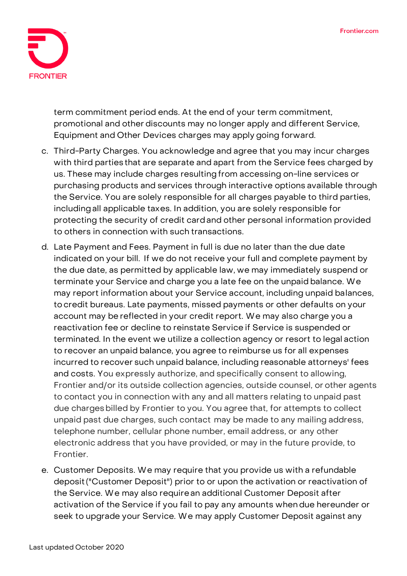

term commitment period ends. At the end of your term commitment, promotional and other discounts may no longer apply and different Service, Equipment and Other Devices charges may apply going forward.

- c. Third-Party Charges. You acknowledge and agree that you may incur charges with third parties that are separate and apart from the Service fees charged by us. These may include charges resulting from accessing on-line services or purchasing products and services through interactive options available through the Service. You are solely responsible for all charges payable to third parties, includingall applicable taxes. In addition, you are solely responsible for protecting the security of credit cardand other personal information provided to others in connection with such transactions.
- d. Late Payment and Fees. Payment in full is due no later than the due date indicated on your bill. If we do not receive your full and complete payment by the due date, as permitted by applicable law, we may immediately suspend or terminate your Service and charge you a late fee on the unpaid balance. **We may report information about your Service account, including unpaid balances, to credit bureaus. Late payments, missed payments or other defaults on your account may be reflected in your credit report.** We may also charge you a reactivation fee or decline to reinstate Service if Service is suspended or terminated. In the event we utilize a collection agency or resort to legal action to recover an unpaid balance, you agree to reimburse us for all expenses incurred to recover such unpaid balance, including reasonable attorneys' fees and costs. You expressly authorize, and specifically consent to allowing, Frontier and/or its outside collection agencies, outside counsel, or other agents to contact you in connection with any and all matters relating to unpaid past due chargesbilled by Frontier to you. You agree that, for attempts to collect unpaid past due charges, such contact may be made to any mailing address, telephone number, cellular phone number, email address, or any other electronic address that you have provided, or may in the future provide, to Frontier.
- e. Customer Deposits. We may require that you provide us with a refundable deposit("Customer Deposit") prior to or upon the activation or reactivation of the Service. We may also requirean additional Customer Deposit after activation of the Service if you fail to pay any amounts whendue hereunder or seek to upgrade your Service. We may apply Customer Deposit against any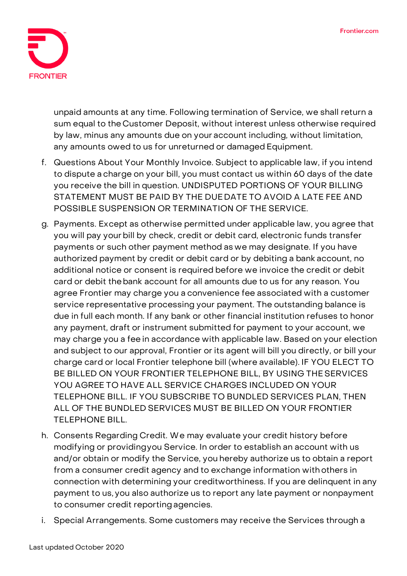

unpaid amounts at any time. Following termination of Service, we shall return a sum equal to the Customer Deposit, without interest unless otherwise required by law, minus any amounts due on your account including, without limitation, any amounts owed to us for unreturned or damaged Equipment.

- f. Questions About Your Monthly Invoice. Subject to applicable law, if you intend to dispute a charge on your bill, you must contact us within 60 days of the date you receive the bill in question. **UNDISPUTED PORTIONS OF YOUR BILLING STATEMENT MUST BE PAID BY THE DUE DATE TO AVOID A LATE FEE AND POSSIBLE SUSPENSION OR TERMINATION OF THE SERVICE.**
- g. Payments. Except as otherwise permitted under applicable law, you agree that you will pay yourbill by check, credit or debit card, electronic funds transfer payments or such other payment method as we may designate. If you have authorized payment by credit or debit card or by debiting a bank account, no additional notice or consent is required before we invoice the credit or debit card or debit thebank account for all amounts due to us for any reason. You agree Frontier may charge you a convenience fee associated with a customer service representative processing your payment. The outstanding balance is due in full each month. If any bank or other financial institution refuses to honor any payment, draft or instrument submitted for payment to your account, we may charge you a fee in accordance with applicable law. Based on your election and subject to our approval, Frontier or its agent will bill you directly, or bill your charge card or local Frontier telephone bill (where available). **IF YOU ELECT TO BE BILLED ON YOUR FRONTIER TELEPHONE BILL, BY USING THE SERVICES YOU AGREE TO HAVE ALL SERVICE CHARGES INCLUDED ON YOUR TELEPHONE BILL. IF YOU SUBSCRIBE TO BUNDLED SERVICES PLAN, THEN ALL OF THE BUNDLED SERVICES MUST BE BILLED ON YOUR FRONTIER TELEPHONE BILL.**
- h. Consents Regarding Credit. We may evaluate your credit history before modifying or providingyou Service. In order to establish an account with us and/or obtain or modify the Service, you hereby authorize us to obtain a report from a consumer credit agency and to exchange information withothers in connection with determining your creditworthiness. If you are delinquent in any payment to us, you also authorize us to report any late payment or nonpayment to consumer credit reporting agencies.
- i. Special Arrangements. Some customers may receive the Services through a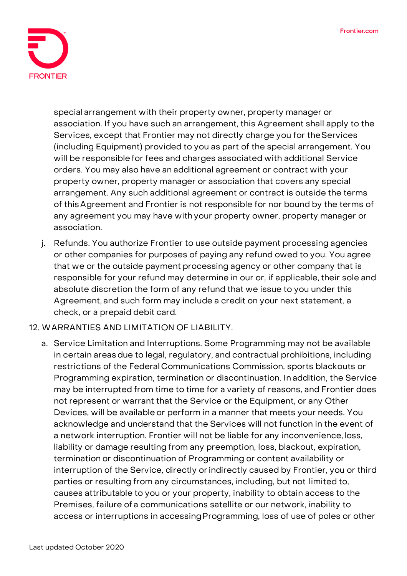

special arrangement with their property owner, property manager or association. If you have such an arrangement, this Agreement shall apply to the Services, except that Frontier may not directly charge you for theServices (including Equipment) provided to you as part of the special arrangement. You will be responsible for fees and charges associated with additional Service orders. You may also have an additional agreement or contract with your property owner, property manager or association that covers any special arrangement. Any such additional agreement or contract is outside the terms of thisAgreement and Frontier is not responsible for nor bound by the terms of any agreement you may have with your property owner, property manager or association.

j. Refunds. You authorize Frontier to use outside payment processing agencies or other companies for purposes of paying any refund owed to you. You agree that we or the outside payment processing agency or other company that is responsible for your refund may determine in our or, if applicable, their sole and absolute discretion the form of any refund that we issue to you under this Agreement, and such form may include a credit on your next statement, a check, or a prepaid debit card.

## **12. WARRANTIES AND LIMITATION OF LIABILITY.**

a. Service Limitation and Interruptions. Some Programming may not be available in certain areas due to legal, regulatory, and contractual prohibitions, including restrictions of the Federal Communications Commission, sports blackouts or Programming expiration, termination or discontinuation. In addition, the Service may be interrupted from time to time for a variety of reasons, and Frontier does not represent or warrant that the Service or the Equipment, or any Other Devices, will be available or perform in a manner that meets your needs. You acknowledge and understand that the Services will not function in the event of a network interruption. Frontier will not be liable for any inconvenience, loss, liability or damage resulting from any preemption, loss, blackout, expiration, termination or discontinuation of Programming or content availability or interruption of the Service, directly orindirectly caused by Frontier, you or third parties or resulting from any circumstances, including, but not limited to, causes attributable to you or your property, inability to obtain access to the Premises, failure of a communications satellite or our network, inability to access or interruptions in accessing Programming, loss of use of poles or other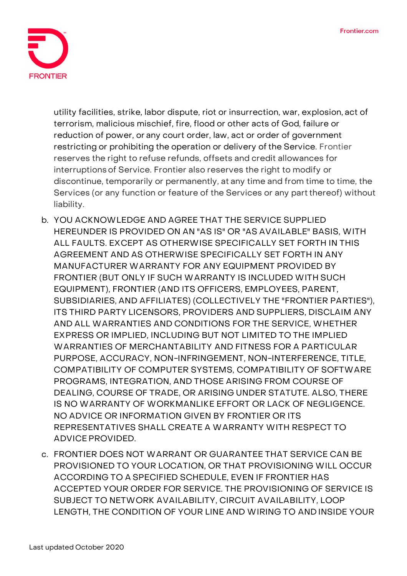

utility facilities, strike, labor dispute, riot or insurrection, war, explosion, act of terrorism, malicious mischief, fire, flood or other acts of God, failure or reduction of power, or any court order, law, act or order of government restricting or prohibiting the operation or delivery of the Service. Frontier reserves the right to refuse refunds, offsets and credit allowances for interruptionsof Service. Frontier also reserves the right to modify or discontinue, temporarily or permanently, at any time and from time to time, the Services (or any function or feature of the Services or any part thereof) without liability.

- **b. YOU ACKNOWLEDGE AND AGREE THAT THE SERVICE SUPPLIED HEREUNDER IS PROVIDED ON AN "AS IS" OR "AS AVAILABLE" BASIS, WITH ALL FAULTS. EXCEPT AS OTHERWISE SPECIFICALLY SET FORTH IN THIS AGREEMENT AND AS OTHERWISE SPECIFICALLY SET FORTH IN ANY MANUFACTURER WARRANTY FOR ANY EQUIPMENT PROVIDED BY FRONTIER (BUT ONLY IF SUCH WARRANTY IS INCLUDED WITH SUCH EQUIPMENT), FRONTIER (AND ITS OFFICERS, EMPLOYEES, PARENT, SUBSIDIARIES, AND AFFILIATES) (COLLECTIVELY THE "FRONTIER PARTIES"), ITS THIRD PARTY LICENSORS, PROVIDERS AND SUPPLIERS, DISCLAIM ANY AND ALL WARRANTIES AND CONDITIONS FOR THE SERVICE, WHETHER EXPRESS OR IMPLIED, INCLUDING BUT NOT LIMITED TO THE IMPLIED WARRANTIES OF MERCHANTABILITY AND FITNESS FOR A PARTICULAR PURPOSE, ACCURACY, NON-INFRINGEMENT, NON-INTERFERENCE, TITLE, COMPATIBILITY OF COMPUTER SYSTEMS, COMPATIBILITY OF SOFTWARE PROGRAMS, INTEGRATION, AND THOSE ARISING FROM COURSE OF DEALING, COURSE OF TRADE, OR ARISING UNDER STATUTE. ALSO, THERE IS NO WARRANTY OF WORKMANLIKE EFFORT OR LACK OF NEGLIGENCE. NO ADVICE OR INFORMATION GIVEN BY FRONTIER OR ITS REPRESENTATIVES SHALL CREATE A WARRANTY WITH RESPECT TO ADVICE PROVIDED.**
- **c. FRONTIER DOES NOT WARRANT OR GUARANTEE THAT SERVICE CAN BE PROVISIONED TO YOUR LOCATION, OR THAT PROVISIONING WILL OCCUR ACCORDING TO A SPECIFIED SCHEDULE, EVEN IF FRONTIER HAS ACCEPTED YOUR ORDER FOR SERVICE. THE PROVISIONING OF SERVICE IS SUBJECT TO NETWORK AVAILABILITY, CIRCUIT AVAILABILITY, LOOP LENGTH, THE CONDITION OF YOUR LINE AND WIRING TO AND INSIDE YOUR**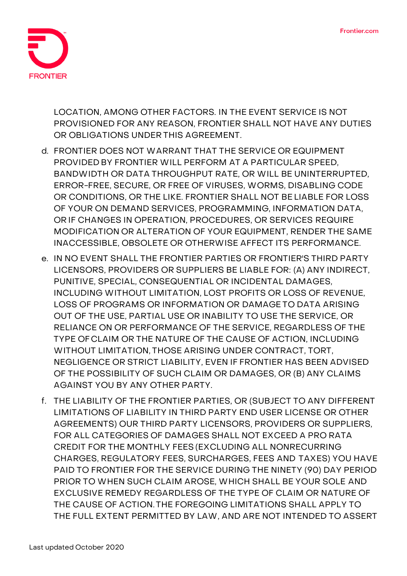

**LOCATION, AMONG OTHER FACTORS. IN THE EVENT SERVICE IS NOT PROVISIONED FOR ANY REASON, FRONTIER SHALL NOT HAVE ANY DUTIES OR OBLIGATIONS UNDER THIS AGREEMENT.**

- **d. FRONTIER DOES NOT WARRANT THAT THE SERVICE OR EQUIPMENT PROVIDED BY FRONTIER WILL PERFORM AT A PARTICULAR SPEED, BANDWIDTH OR DATA THROUGHPUT RATE, OR WILL BE UNINTERRUPTED, ERROR-FREE, SECURE, OR FREE OF VIRUSES, WORMS, DISABLING CODE OR CONDITIONS, OR THE LIKE. FRONTIER SHALL NOT BE LIABLE FOR LOSS OF YOUR ON DEMAND SERVICES, PROGRAMMING, INFORMATION DATA, OR IF CHANGES IN OPERATION, PROCEDURES, OR SERVICES REQUIRE MODIFICATION OR ALTERATION OF YOUR EQUIPMENT, RENDER THE SAME INACCESSIBLE, OBSOLETE OR OTHERWISE AFFECT ITS PERFORMANCE.**
- **e. IN NO EVENT SHALL THE FRONTIER PARTIES OR FRONTIER'S THIRD PARTY LICENSORS, PROVIDERS OR SUPPLIERS BE LIABLE FOR: (A) ANY INDIRECT, PUNITIVE, SPECIAL, CONSEQUENTIAL OR INCIDENTAL DAMAGES, INCLUDING WITHOUT LIMITATION, LOST PROFITS OR LOSS OF REVENUE, LOSS OF PROGRAMS OR INFORMATION OR DAMAGE TO DATA ARISING OUT OF THE USE, PARTIAL USE OR INABILITY TO USE THE SERVICE, OR RELIANCE ON OR PERFORMANCE OF THE SERVICE, REGARDLESS OF THE TYPE OF CLAIM OR THE NATURE OF THE CAUSE OF ACTION, INCLUDING WITHOUT LIMITATION, THOSE ARISING UNDER CONTRACT, TORT, NEGLIGENCE OR STRICT LIABILITY, EVEN IF FRONTIER HAS BEEN ADVISED OF THE POSSIBILITY OF SUCH CLAIM OR DAMAGES, OR (B) ANY CLAIMS AGAINST YOU BY ANY OTHER PARTY.**
- **f. THE LIABILITY OF THE FRONTIER PARTIES, OR (SUBJECT TO ANY DIFFERENT LIMITATIONS OF LIABILITY IN THIRD PARTY END USER LICENSE OR OTHER AGREEMENTS) OUR THIRD PARTY LICENSORS, PROVIDERS OR SUPPLIERS, FOR ALL CATEGORIES OF DAMAGES SHALL NOT EXCEED A PRO RATA CREDIT FOR THE MONTHLY FEES (EXCLUDING ALL NONRECURRING CHARGES, REGULATORY FEES, SURCHARGES, FEES AND TAXES) YOU HAVE PAID TO FRONTIER FOR THE SERVICE DURING THE NINETY (90) DAY PERIOD PRIOR TO WHEN SUCH CLAIM AROSE, WHICH SHALL BE YOUR SOLE AND EXCLUSIVE REMEDY REGARDLESS OF THE TYPE OF CLAIM OR NATURE OF THE CAUSE OF ACTION. THE FOREGOING LIMITATIONS SHALL APPLY TO THE FULL EXTENT PERMITTED BY LAW, AND ARE NOT INTENDED TO ASSERT**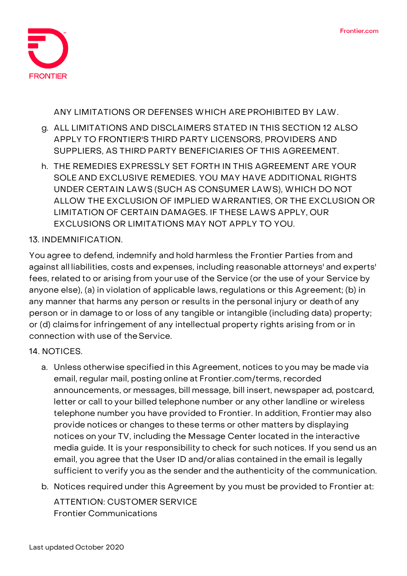

**ANY LIMITATIONS OR DEFENSES WHICH ARE PROHIBITED BY LAW.**

- **g. ALL LIMITATIONS AND DISCLAIMERS STATED IN THIS SECTION 12 ALSO APPLY TO FRONTIER'S THIRD PARTY LICENSORS, PROVIDERS AND SUPPLIERS, AS THIRD PARTY BENEFICIARIES OF THIS AGREEMENT.**
- **h. THE REMEDIES EXPRESSLY SET FORTH IN THIS AGREEMENT ARE YOUR SOLE AND EXCLUSIVE REMEDIES. YOU MAY HAVE ADDITIONAL RIGHTS UNDER CERTAIN LAWS (SUCH AS CONSUMER LAWS), WHICH DO NOT ALLOW THE EXCLUSION OF IMPLIED WARRANTIES, OR THE EXCLUSION OR LIMITATION OF CERTAIN DAMAGES. IF THESE LAWS APPLY, OUR EXCLUSIONS OR LIMITATIONS MAY NOT APPLY TO YOU.**

### **13. INDEMNIFICATION.**

You agree to defend, indemnify and hold harmless the Frontier Parties from and against all liabilities, costs and expenses, including reasonable attorneys' and experts' fees, related to or arising from your use of the Service (or the use of your Service by anyone else), (a) in violation of applicable laws, regulations or this Agreement; (b) in any manner that harms any person or results in the personal injury or deathof any person or in damage to or loss of any tangible or intangible (including data) property; or (d) claimsfor infringement of any intellectual property rights arising from or in connection with use of theService.

#### **14. NOTICES.**

- a. Unless otherwise specified in this Agreement, notices to you may be made via email, regular mail, posting online at Frontier.com/terms, recorded announcements, or messages, bill message, bill insert, newspaper ad, postcard, letter or call to your billed telephone number or any other landline or wireless telephone number you have provided to Frontier. In addition, Frontier may also provide notices or changes to these terms or other matters by displaying notices on your TV, including the Message Center located in the interactive media guide. It is your responsibility to check for such notices. If you send us an email, you agree that the User ID and/oralias contained in the email is legally sufficient to verify you as the sender and the authenticity of the communication.
- b. Notices required under this Agreement by you must be provided to Frontier at:

ATTENTION: CUSTOMER SERVICE Frontier Communications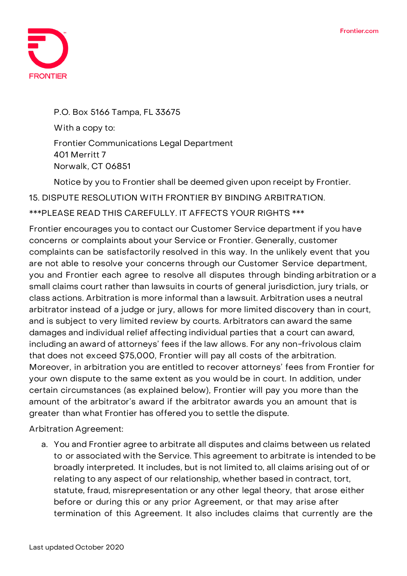

P.O. Box 5166 Tampa, FL 33675 With a copy to: Frontier Communications Legal Department 401 Merritt 7 Norwalk, CT 06851

Notice by you to Frontier shall be deemed given upon receipt by Frontier.

**15. DISPUTE RESOLUTION WITH FRONTIER BY BINDING ARBITRATION.**

**\*\*\*PLEASE READ THIS CAREFULLY. IT AFFECTS YOUR RIGHTS \*\*\***

Frontier encourages you to contact our Customer Service department if you have concerns or complaints about your Service or Frontier. Generally, customer complaints can be satisfactorily resolved in this way. In the unlikely event that you are not able to resolve your concerns through our Customer Service department, you and Frontier each agree to resolve all disputes through binding arbitration or a small claims court rather than lawsuits in courts of general jurisdiction, jury trials, or class actions. Arbitration is more informal than a lawsuit. Arbitration uses a neutral arbitrator instead of a judge or jury, allows for more limited discovery than in court, and is subject to very limited review by courts. Arbitrators can award the same damages and individual relief affecting individual parties that a court can award, including an award of attorneys' fees if the law allows. For any non-frivolous claim that does not exceed \$75,000, Frontier will pay all costs of the arbitration. Moreover, in arbitration you are entitled to recover attorneys' fees from Frontier for your own dispute to the same extent as you would be in court. In addition, under certain circumstances (as explained below), Frontier will pay you more than the amount of the arbitrator's award if the arbitrator awards you an amount that is greater than what Frontier has offered you to settle the dispute.

**Arbitration Agreement:**

a. You and Frontier agree to arbitrate **all disputes and claims** between us related to or associated with the Service. This agreement to arbitrate is intended to be broadly interpreted. It includes, but is not limited to, all claims arising out of or relating to any aspect of our relationship, whether based in contract, tort, statute, fraud, misrepresentation or any other legal theory, that arose either before or during this or any prior Agreement, or that may arise after termination of this Agreement. It also includes claims that currently are the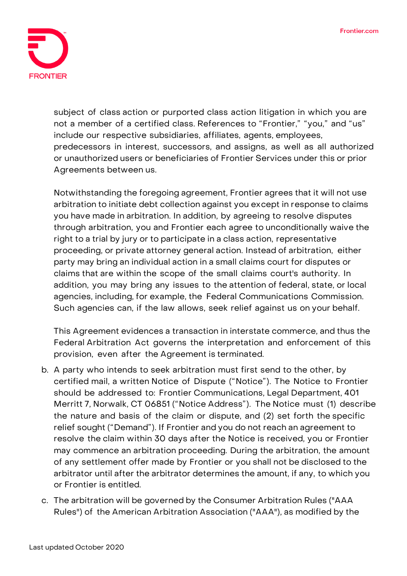

subject of class action or purported class action litigation in which you are not a member of a certified class. References to "Frontier," "you," and "us" include our respective subsidiaries, affiliates, agents, employees, predecessors in interest, successors, and assigns, as well as all authorized or unauthorized users or beneficiaries of Frontier Services under this or prior Agreements between us.

Notwithstanding the foregoing agreement, Frontier agrees that it will not use arbitration to initiate debt collection against you except in response to claims you have made in arbitration. In addition, by agreeing to resolve disputes through arbitration, **you and Frontier each agree to unconditionally waive the right to a trial by jury or to participate in a class action, representative proceeding, or private attorney general action.** Instead of arbitration, either party may bring an individual action in a small claims court for disputes or claims that are within the scope of the small claims court's authority. In addition, you may bring any issues to the attention of federal, state, or local agencies, including, for example, the Federal Communications Commission. Such agencies can, if the law allows, seek relief against us on your behalf.

This Agreement evidences a transaction in interstate commerce, and thus the Federal Arbitration Act governs the interpretation and enforcement of this provision, even after the Agreement is terminated.

- b. A party who intends to seek arbitration must first send to the other, by certified mail, a written Notice of Dispute ("Notice"). The Notice to Frontier should be addressed to: Frontier Communications, Legal Department, 401 Merritt 7, Norwalk, CT 06851 ("Notice Address"). The Notice must (1) describe the nature and basis of the claim or dispute, and (2) set forth the specific relief sought ("Demand"). If Frontier and you do not reach an agreement to resolve the claim within 30 days after the Notice is received, you or Frontier may commence an arbitration proceeding. During the arbitration, the amount of any settlement offer made by Frontier or you shall not be disclosed to the arbitrator until after the arbitrator determines the amount, if any, to which you or Frontier is entitled.
- c. The arbitration will be governed by the Consumer Arbitration Rules ("AAA Rules") of the American Arbitration Association ("AAA"), as modified by the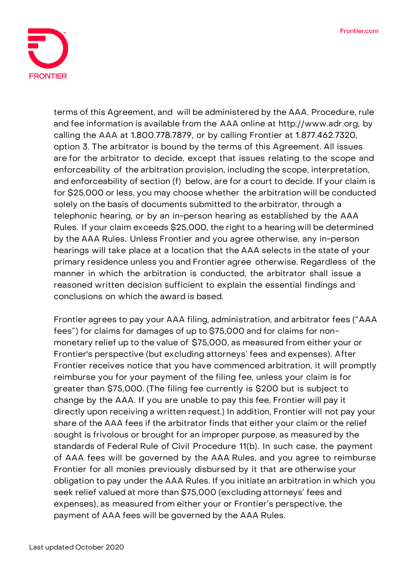

terms of this Agreement, and will be administered by the AAA. Procedure, rule and fee information is available from the AAA online at [http://www.adr.org,](http://www.adr.org/) by calling the AAA at 1.800.778.7879, or by calling Frontier at 1.877.462.7320, option 3. The arbitrator is bound by the terms of this Agreement. All issues are for the arbitrator to decide, except that issues relating to the scope and enforceability of the arbitration provision, including the scope, interpretation, and enforceability of section (f) below, are for a court to decide. If your claim is for \$25,000 or less, you may choose whether the arbitration will be conducted solely on the basis of documents submitted to the arbitrator, through a telephonic hearing, or by an in-person hearing as established by the AAA Rules. If your claim exceeds \$25,000, the right to a hearing will be determined by the AAA Rules. Unless Frontier and you agree otherwise, any in-person hearings will take place at a location that the AAA selects in the state of your primary residence unless you and Frontier agree otherwise. Regardless of the manner in which the arbitration is conducted, the arbitrator shall issue a reasoned written decision sufficient to explain the essential findings and conclusions on which the award is based.

Frontier agrees to pay your AAA filing, administration, and arbitrator fees ("AAA fees") for claims for damages of up to \$75,000 and for claims for nonmonetary relief up to the value of \$75,000, as measured from either your or Frontier's perspective (but excluding attorneys' fees and expenses). After Frontier receives notice that you have commenced arbitration, it will promptly reimburse you for your payment of the filing fee, unless your claim is for greater than \$75,000. (The filing fee currently is \$200 but is subject to change by the AAA. If you are unable to pay this fee, Frontier will pay it directly upon receiving a written request.) In addition, Frontier will not pay your share of the AAA fees if the arbitrator finds that either your claim or the relief sought is frivolous or brought for an improper purpose, as measured by the standards of Federal Rule of Civil Procedure 11(b). In such case, the payment of AAA fees will be governed by the AAA Rules, and you agree to reimburse Frontier for all monies previously disbursed by it that are otherwise your obligation to pay under the AAA Rules. If you initiate an arbitration in which you seek relief valued at more than \$75,000 (excluding attorneys' fees and expenses), as measured from either your or Frontier's perspective, the payment of AAA fees will be governed by the AAA Rules.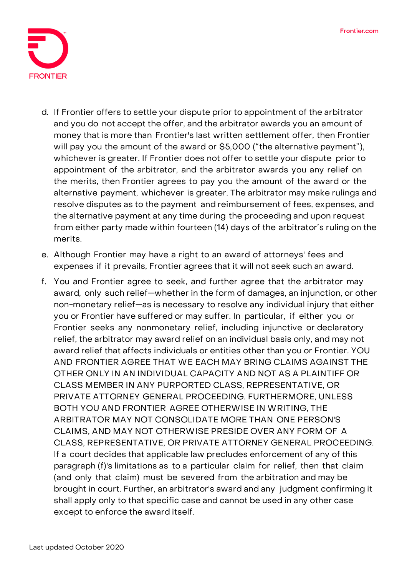

- d. If Frontier offers to settle your dispute prior to appointment of the arbitrator and you do not accept the offer, and the arbitrator awards you an amount of money that is more than Frontier's last written settlement offer, then Frontier will pay you the amount of the award or \$5,000 ("the alternative payment"), whichever is greater. If Frontier does not offer to settle your dispute prior to appointment of the arbitrator, and the arbitrator awards you any relief on the merits, then Frontier agrees to pay you the amount of the award or the alternative payment, whichever is greater. The arbitrator may make rulings and resolve disputes as to the payment and reimbursement of fees, expenses, and the alternative payment at any time during the proceeding and upon request from either party made within fourteen (14) days of the arbitrator's ruling on the merits.
- e. Although Frontier may have a right to an award of attorneys' fees and expenses if it prevails, Frontier agrees that it will not seek such an award.
- f. You and Frontier agree to seek, and further agree that the arbitrator may award, only such relief—whether in the form of damages, an injunction, or other non-monetary relief—as is necessary to resolve any individual injury that either you or Frontier have suffered or may suffer. In particular, if either you or Frontier seeks any nonmonetary relief, including injunctive or declaratory relief, the arbitrator may award relief on an individual basis only, and may not award relief that affects individuals or entities other than you or Frontier. YOU AND FRONTIER AGREE THAT WE EACH MAY BRING CLAIMS AGAINST THE OTHER ONLY IN AN INDIVIDUAL CAPACITY AND NOT AS A PLAINTIFF OR CLASS MEMBER IN ANY PURPORTED CLASS, REPRESENTATIVE, OR PRIVATE ATTORNEY GENERAL PROCEEDING. FURTHERMORE, UNLESS BOTH YOU AND FRONTIER AGREE OTHERWISE IN WRITING, THE ARBITRATOR MAY NOT CONSOLIDATE MORE THAN ONE PERSON'S CLAIMS, AND MAY NOT OTHERWISE PRESIDE OVER ANY FORM OF A CLASS, REPRESENTATIVE, OR PRIVATE ATTORNEY GENERAL PROCEEDING. If a court decides that applicable law precludes enforcement of any of this paragraph (f)'s limitations as to a particular claim for relief, then that claim (and only that claim) must be severed from the arbitration and may be brought in court. Further, an arbitrator's award and any judgment confirming it shall apply only to that specific case and cannot be used in any other case except to enforce the award itself.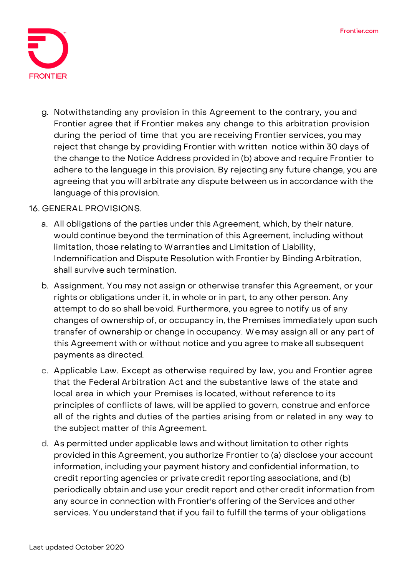

g. Notwithstanding any provision in this Agreement to the contrary, you and Frontier agree that if Frontier makes any change to this arbitration provision during the period of time that you are receiving Frontier services, you may reject that change by providing Frontier with written notice within 30 days of the change to the Notice Address provided in (b) above and require Frontier to adhere to the language in this provision. By rejecting any future change, you are agreeing that you will arbitrate any dispute between us in accordance with the language of this provision.

## **16. GENERAL PROVISIONS.**

- a. All obligations of the parties under this Agreement, which, by their nature, would continue beyond the termination of this Agreement, including without limitation, those relating to Warranties and Limitation of Liability, Indemnification and Dispute Resolution with Frontier by Binding Arbitration, shall survive such termination.
- b. Assignment. You may not assign or otherwise transfer this Agreement, or your rights or obligations under it, in whole or in part, to any other person. Any attempt to do so shall bevoid. Furthermore, you agree to notify us of any changes of ownership of, or occupancy in, the Premises immediately upon such transfer of ownership or change in occupancy. We may assign all or any part of this Agreement with or without notice and you agree to make all subsequent payments as directed.
- c. Applicable Law. Except as otherwise required by law, you and Frontier agree that the Federal Arbitration Act and the substantive laws of the state and local area in which your Premises is located, without reference to its principles of conflicts of laws, will be applied to govern, construe and enforce all of the rights and duties of the parties arising from or related in any way to the subject matter of this Agreement.
- d. As permitted under applicable laws and without limitation to other rights provided in this Agreement, you authorize Frontier to (a) disclose your account information, including your payment history and confidential information, to credit reporting agencies or private credit reporting associations, and (b) periodically obtain and use your credit report and other credit information from any source in connection with Frontier's offering of the Services and other services. You understand that if you fail to fulfill the terms of your obligations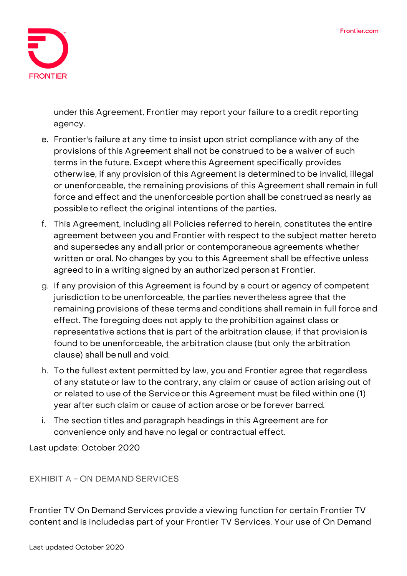

under this Agreement, Frontier may report your failure to a credit reporting agency.

- e. Frontier's failure at any time to insist upon strict compliance with any of the provisions ofthis Agreement shall not be construed to be a waiver of such terms in the future. Except wherethis Agreement specifically provides otherwise, if any provision of this Agreement is determinedto be invalid, illegal or unenforceable, the remaining provisions of this Agreement shall remain in full force and effect and the unenforceable portion shall be construed as nearly as possible to reflect the original intentions of the parties.
- f. This Agreement, including all Policies referred to herein, constitutes the entire agreement between you and Frontier with respect to the subject matter hereto and supersedes any andall prior or contemporaneous agreements whether written or oral. No changes by you to this Agreement shall be effective unless agreed to in a writing signed by an authorized person at Frontier.
- g. If any provision of this Agreement is found by a court or agency of competent jurisdiction tobe unenforceable, the parties nevertheless agree that the remaining provisions of these terms and conditions shall remain in full force and effect. The foregoing does not apply to theprohibition against class or representative actions that is part of the arbitration clause; if that provision is found to be unenforceable, the arbitration clause (but only the arbitration clause) shall benull and void.
- h. To the fullest extent permitted by law, you and Frontier agree that regardless of any statuteor law to the contrary, any claim or cause of action arising out of or related to use of the Serviceor this Agreement must be filed within one (1) year after such claim or cause of action arose or be forever barred.
- i. The section titles and paragraph headings in this Agreement are for convenience only and have no legal or contractual effect.

Last update: October 2020

## **EXHIBIT A - ON DEMAND SERVICES**

Frontier TV On Demand Services provide a viewing function for certain Frontier TV content and is includedas part of your Frontier TV Services. Your use of On Demand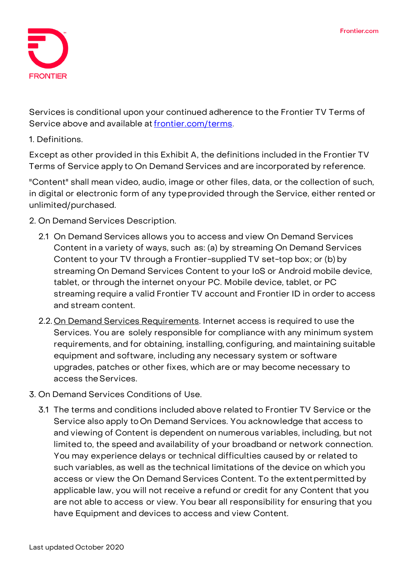

Services is conditional upon your continued adherence to the Frontier TV Terms of Service above and available at [frontier.com/terms.](https://frontier.com/corporate/terms)

**1. Definitions.**

Except as other provided in this Exhibit A, the definitions included in the Frontier TV Terms of Service apply to On Demand Services and are incorporated by reference.

"Content" shall mean video, audio, image or other files, data, or the collection of such, in digital or electronic form of any typeprovided through the Service, either rented or unlimited/purchased.

- **2. On Demand Services Description.**
	- 2.1 On Demand Services allows you to access and view On Demand Services Content in a variety of ways, such as: (a) by streaming On Demand Services Content to your TV through a Frontier-supplied TV set-top box; or (b) by streaming On Demand Services Content to your IoS or Android mobile device, tablet, or through the internet onyour PC. Mobile device, tablet, or PC streaming require a valid Frontier TV account and Frontier ID in orderto access and stream content.
	- 2.2. On Demand Services Requirements. Internet access is required to use the Services. You are solely responsible for compliance with any minimum system requirements, and for obtaining, installing, configuring, and maintaining suitable equipment and software, including any necessary system or software upgrades, patches or other fixes, which are or may become necessary to access the Services.
- **3. On Demand Services Conditions of Use.**
	- 3.1 The terms and conditions included above related to Frontier TV Service or the Service also apply toOn Demand Services. You acknowledge that access to and viewing of Content is dependent on numerous variables, including, but not limited to, the speed and availability of your broadband or network connection. You may experience delays or technical difficulties caused by or related to such variables, as well as the technical limitations of the device on which you access or view the On Demand Services Content. To the extentpermitted by applicable law, you will not receive a refund or credit for any Content that you are not able to access or view. You bear all responsibility for ensuring that you have Equipment and devices to access and view Content.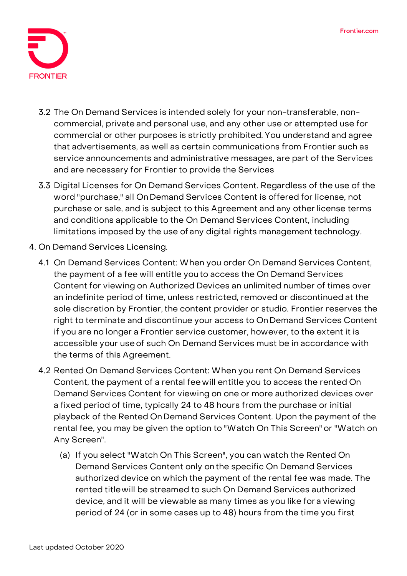

- 3.2 The On Demand Services is intended solely for your non-transferable, noncommercial, private and personal use, and any other use or attempted use for commercial or other purposes is strictly prohibited. You understand and agree that advertisements, as well as certain communications from Frontier such as service announcements and administrative messages, are part of the Services and are necessary for Frontier to provide the Services
- 3.3 Digital Licenses for On Demand Services Content. Regardless of the use of the word "purchase," all On Demand Services Content is offered for license, not purchase or sale, and is subject to this Agreement and any other license terms and conditions applicable to the On Demand Services Content, including limitations imposed by the use of any digital rights management technology.
- **4. On Demand Services Licensing.**
	- 4.1 On Demand Services Content: When you order On Demand Services Content, the payment of a fee will entitle you to access the On Demand Services Content for viewing on Authorized Devices an unlimited number of times over an indefinite period of time, unless restricted, removed or discontinued at the sole discretion by Frontier, the content provider or studio. Frontier reserves the right to terminate and discontinue your access to OnDemand Services Content if you are no longer a Frontier service customer, however, to the extent it is accessible your useof such On Demand Services must be in accordance with the terms of this Agreement.
	- 4.2 Rented On Demand Services Content: When you rent On Demand Services Content, the payment of a rental fee will entitle you to access the rented On Demand Services Content for viewing on one or more authorized devices over a fixed period of time, typically 24 to 48 hours from the purchase or initial playback of the Rented OnDemand Services Content. Upon the payment of the rental fee, you may be given the option to "Watch On This Screen" or "Watch on Any Screen".
		- (a) If you select "Watch On This Screen", you can watch the Rented On Demand Services Content only onthe specific On Demand Services authorized device on which the payment of the rental fee was made. The rented titlewill be streamed to such On Demand Services authorized device, and it will be viewable as many times as you like for a viewing period of 24 (or in some cases up to 48) hours from the time you first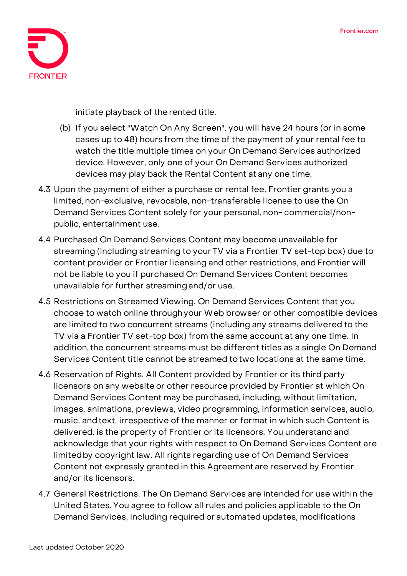

initiate playback of therented title.

- (b) If you select "Watch On Any Screen", you will have 24 hours (or in some cases up to 48) hours from the time of the payment of your rental fee to watch the title multiple times on your On Demand Services authorized device. However, only one of your On Demand Services authorized devices may play back the Rental Content at any one time.
- 4.3 Upon the payment of either a purchase or rental fee, Frontier grants you a limited, non-exclusive, revocable, non-transferable license to use the On Demand Services Content solely for your personal, non- commercial/nonpublic, entertainment use.
- 4.4 Purchased On Demand Services Content may become unavailable for streaming (including streaming to your TV via a Frontier TV set-top box) due to content provider or Frontier licensing and other restrictions, and Frontier will not be liable to you if purchased On Demand Services Content becomes unavailable for further streamingand/or use.
- 4.5 Restrictions on Streamed Viewing. On Demand Services Content that you choose to watch online throughyour Web browser or other compatible devices are limited to two concurrent streams (including any streams delivered to the TV via a Frontier TV set-top box) from the same account at any one time. In addition, the concurrent streams must be different titles as a single On Demand Services Content title cannot be streamed totwo locations at the same time.
- 4.6 Reservation of Rights. All Content provided by Frontier or its third party licensors on any website or other resource provided by Frontier at which On Demand Services Content may be purchased, including, without limitation, images, animations, previews, video programming, information services, audio, music, and text, irrespective of the manner or format in which such Content is delivered, is the property of Frontier or its licensors. You understand and acknowledge that your rights with respect to On Demand Services Content are limitedby copyright law. All rights regarding use of On Demand Services Content not expressly granted in this Agreement are reserved by Frontier and/or its licensors.
- 4.7 General Restrictions. The On Demand Services are intended for use within the United States. You agree to follow all rules and policies applicable to the On Demand Services, including required or automated updates, modifications